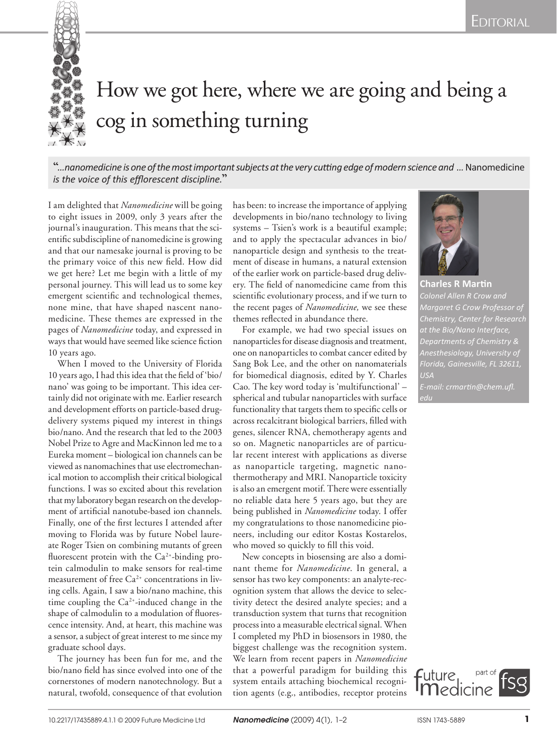

## How we got here, where we are going and being a cog in something turning

**"***…nanomedicine is one of the most important subjects at the very cutting edge of modern science and …*Nanomedicine *is the voice of this efflorescent discipline.***"**

I am delighted that *Nanomedicine* will be going to eight issues in 2009, only 3 years after the journal's inauguration. This means that the scientific subdiscipline of nanomedicine is growing and that our namesake journal is proving to be the primary voice of this new field. How did we get here? Let me begin with a little of my personal journey. This will lead us to some key emergent scientific and technological themes, none mine, that have shaped nascent nanomedicine. These themes are expressed in the pages of *Nanomedicine* today, and expressed in ways that would have seemed like science fiction 10 years ago.

When I moved to the University of Florida 10 years ago, I had this idea that the field of 'bio/ nano' was going to be important. This idea certainly did not originate with me. Earlier research and development efforts on particle-based drugdelivery systems piqued my interest in things bio/nano. And the research that led to the 2003 Nobel Prize to Agre and MacKinnon led me to a Eureka moment – biological ion channels can be viewed as nanomachines that use electromechanical motion to accomplish their critical biological functions. I was so excited about this revelation that my laboratory began research on the development of artificial nanotube-based ion channels. Finally, one of the first lectures I attended after moving to Florida was by future Nobel laureate Roger Tsien on combining mutants of green fluorescent protein with the  $Ca<sup>2+</sup>$ -binding protein calmodulin to make sensors for real-time measurement of free  $Ca^{2+}$  concentrations in living cells. Again, I saw a bio/nano machine, this time coupling the  $Ca^{2+}$ -induced change in the shape of calmodulin to a modulation of fluorescence intensity. And, at heart, this machine was a sensor, a subject of great interest to me since my graduate school days.

The journey has been fun for me, and the bio/nano field has since evolved into one of the cornerstones of modern nanotechnology. But a natural, twofold, consequence of that evolution has been: to increase the importance of applying developments in bio/nano technology to living systems – Tsien's work is a beautiful example; and to apply the spectacular advances in bio/ nanoparticle design and synthesis to the treatment of disease in humans, a natural extension of the earlier work on particle-based drug delivery. The field of nanomedicine came from this scientific evolutionary process, and if we turn to the recent pages of *Nanomedicine,* we see these themes reflected in abundance there.

For example, we had two special issues on nanoparticles for disease diagnosis and treatment, one on nanoparticles to combat cancer edited by Sang Bok Lee, and the other on nanomaterials for biomedical diagnosis, edited by Y. Charles Cao. The key word today is 'multifunctional' – spherical and tubular nanoparticles with surface functionality that targets them to specific cells or across recalcitrant biological barriers, filled with genes, silencer RNA, chemotherapy agents and so on. Magnetic nanoparticles are of particular recent interest with applications as diverse as nanoparticle targeting, magnetic nanothermotherapy and MRI. Nanoparticle toxicity is also an emergent motif. There were essentially no reliable data here 5 years ago, but they are being published in *Nanomedicine* today. I offer my congratulations to those nanomedicine pioneers, including our editor Kostas Kostarelos, who moved so quickly to fill this void.

New concepts in biosensing are also a dominant theme for *Nanomedicine*. In general, a sensor has two key components: an analyte-recognition system that allows the device to selectivity detect the desired analyte species; and a transduction system that turns that recognition process into a measurable electrical signal. When I completed my PhD in biosensors in 1980, the biggest challenge was the recognition system. We learn from recent papers in *Nanomedicine* that a powerful paradigm for building this system entails attaching biochemical recognition agents (e.g., antibodies, receptor proteins



**Charles R Martin**  *Colonel Allen R Crow and Margaret G Crow Professor of Chemistry, Center for Research Departments of Chemistry & Anesthesiology, University of USA E-mail: crmartin@chem.ufl.*